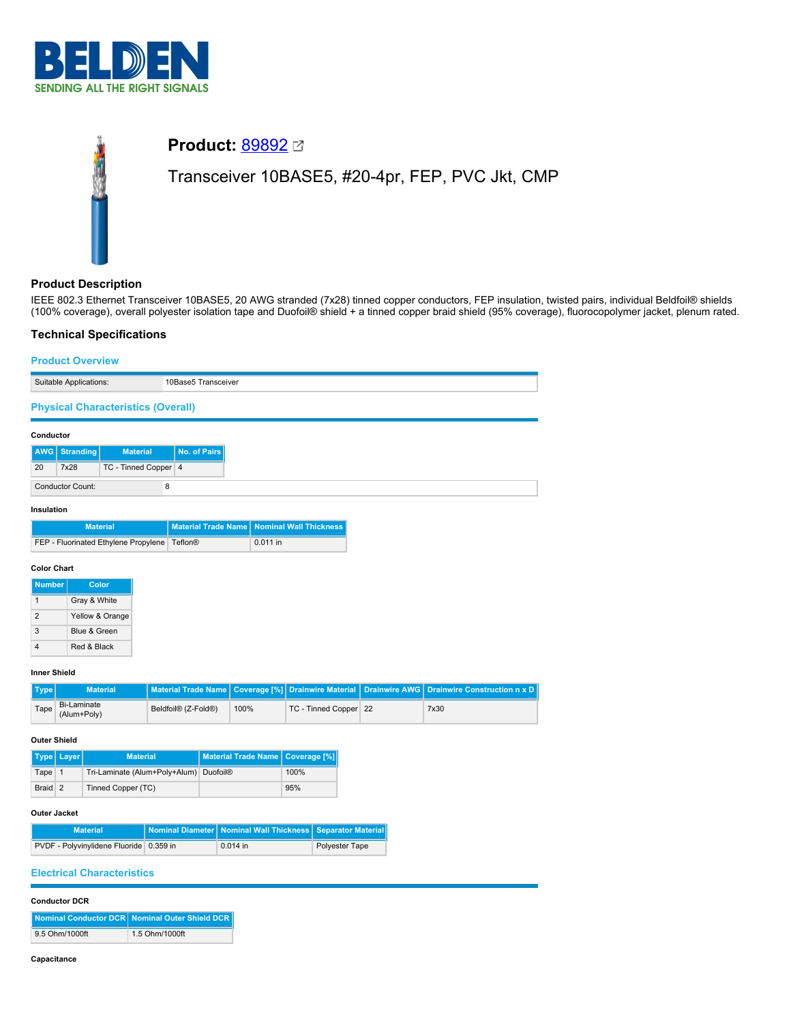



# **Product Description**

IEEE 802.3 Ethernet Transceiver 10BASE5, 20 AWG stranded (7x28) tinned copper conductors, FEP insulation, twisted pairs, individual Beldfoil® shields (100% coverage), overall polyester isolation tape and Duofoil® shield + a tinned copper braid shield (95% coverage), fluorocopolymer jacket, plenum rated.

# **Technical Specifications**

|                                               |                                   | <b>Product Overview</b>                        |                                              |                            |                               |                               |                           |                      |                                     |
|-----------------------------------------------|-----------------------------------|------------------------------------------------|----------------------------------------------|----------------------------|-------------------------------|-------------------------------|---------------------------|----------------------|-------------------------------------|
| 10Base5 Transceiver<br>Suitable Applications: |                                   |                                                |                                              |                            |                               |                               |                           |                      |                                     |
|                                               |                                   | <b>Physical Characteristics (Overall)</b>      |                                              |                            |                               |                               |                           |                      |                                     |
| Conductor                                     |                                   |                                                |                                              |                            |                               |                               |                           |                      |                                     |
| <b>AWG</b>                                    | <b>Stranding</b>                  | <b>Material</b>                                |                                              | No. of Pairs               |                               |                               |                           |                      |                                     |
| 20                                            | 7x28                              | TC - Tinned Copper 4                           |                                              |                            |                               |                               |                           |                      |                                     |
|                                               | <b>Conductor Count:</b>           |                                                | 8                                            |                            |                               |                               |                           |                      |                                     |
| Insulation                                    |                                   |                                                |                                              |                            |                               |                               |                           |                      |                                     |
|                                               |                                   | <b>Material</b>                                |                                              | <b>Material Trade Name</b> |                               | <b>Nominal Wall Thickness</b> |                           |                      |                                     |
|                                               |                                   | FEP - Fluorinated Ethylene Propylene   Teflon® |                                              |                            | 0.011 in                      |                               |                           |                      |                                     |
| <b>Color Chart</b>                            |                                   |                                                |                                              |                            |                               |                               |                           |                      |                                     |
| <b>Number</b>                                 |                                   | Color                                          |                                              |                            |                               |                               |                           |                      |                                     |
| $\mathbf{1}$                                  |                                   | Gray & White                                   |                                              |                            |                               |                               |                           |                      |                                     |
| $\overline{2}$                                |                                   | Yellow & Orange                                |                                              |                            |                               |                               |                           |                      |                                     |
| 3                                             |                                   | Blue & Green                                   |                                              |                            |                               |                               |                           |                      |                                     |
| 4                                             |                                   | Red & Black                                    |                                              |                            |                               |                               |                           |                      |                                     |
| Inner Shield                                  |                                   |                                                |                                              |                            |                               |                               |                           |                      |                                     |
| <b>Type</b>                                   |                                   | <b>Material</b>                                | <b>Material Trade Name</b>                   |                            | Coverage [%]                  |                               | <b>Drainwire Material</b> | <b>Drainwire AWG</b> | <b>Drainwire Construction n x D</b> |
| Tape                                          | <b>Bi-Laminate</b><br>(Alum+Poly) |                                                | Beldfoil <sup>®</sup> (Z-Fold <sup>®</sup> ) |                            | 100%                          |                               | TC - Tinned Copper 22     |                      | 7x30                                |
| <b>Outer Shield</b>                           |                                   |                                                |                                              |                            |                               |                               |                           |                      |                                     |
| Type                                          | Layer                             | <b>Material</b>                                |                                              |                            | <b>Material Trade Name</b>    | <b>Coverage [%]</b>           |                           |                      |                                     |
| Tape                                          | $\mathbf{1}$                      | Tri-Laminate (Alum+Poly+Alum)                  |                                              | <b>Duofoil®</b>            |                               | 100%                          |                           |                      |                                     |
|                                               | Braid 2<br>Tinned Copper (TC)     |                                                | 95%                                          |                            |                               |                               |                           |                      |                                     |
| <b>Outer Jacket</b>                           |                                   |                                                |                                              |                            |                               |                               |                           |                      |                                     |
|                                               |                                   | <b>Material</b>                                | <b>Nominal Diameter</b>                      |                            | <b>Nominal Wall Thickness</b> |                               | <b>Separator Material</b> |                      |                                     |
| PVDF - Polyvinylidene Fluoride 0.359 in       |                                   |                                                |                                              | 0.014 in                   |                               | Polyester Tape                |                           |                      |                                     |
|                                               |                                   | <b>Electrical Characteristics</b>              |                                              |                            |                               |                               |                           |                      |                                     |

#### **Conductor DCR**

|                | Nominal Conductor DCR Nominal Outer Shield DCR |
|----------------|------------------------------------------------|
| 9.5 Ohm/1000ft | 1.5 Ohm/1000ft                                 |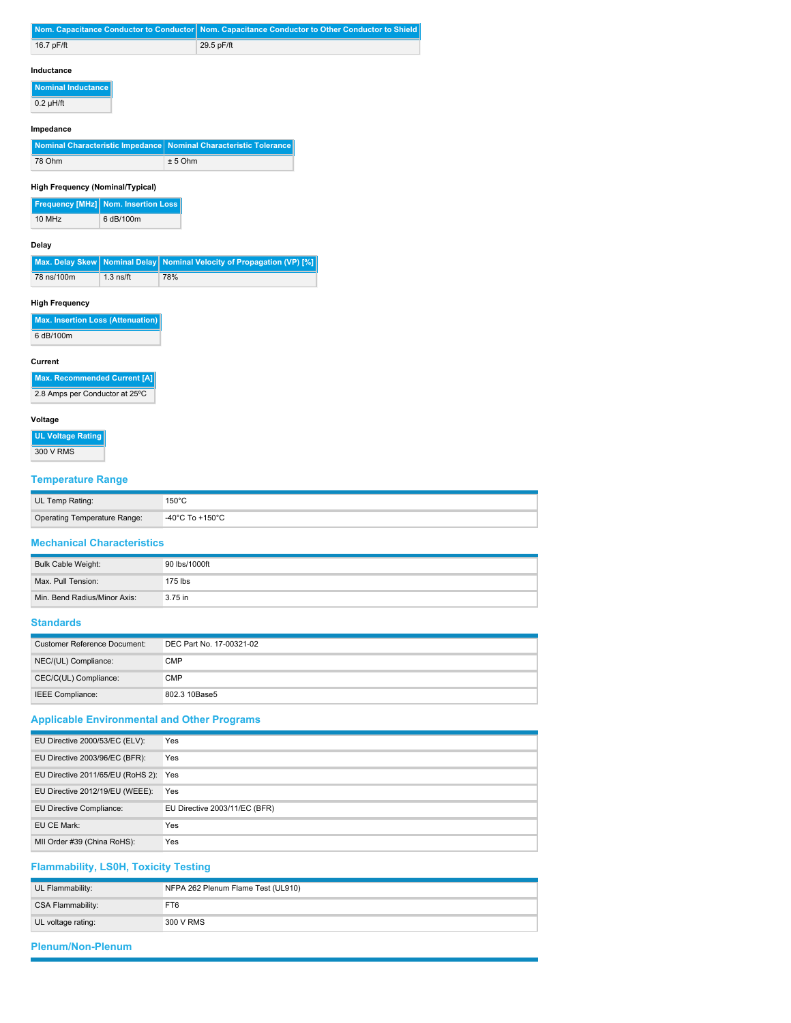|              | Nom. Capacitance Conductor to Conductor Nom. Capacitance Conductor to Other Conductor to Shield |
|--------------|-------------------------------------------------------------------------------------------------|
| 16.7 $pF/ft$ | 29.5 pF/ft                                                                                      |

## **Inductance**

**Nominal Inductance**  $0.2 \mu H / ft$ 

## **Impedance**

| Nominal Characteristic Impedance Nominal Characteristic Tolerance |           |
|-------------------------------------------------------------------|-----------|
| 78 Ohm                                                            | $± 5$ Ohm |

## **High Frequency (Nominal/Typical)**

|        | <b>Frequency [MHz] Nom. Insertion Loss</b> |
|--------|--------------------------------------------|
| 10 MHz | 6 dB/100m                                  |

## **Delay**

|            |             | Max. Delay Skew   Nominal Delay   Nominal Velocity of Propagation (VP) [%] |
|------------|-------------|----------------------------------------------------------------------------|
| 78 ns/100m | $1.3$ ns/ft | 78%                                                                        |

## **High Frequency**

| Max. Insertion Loss (Attenuation) |
|-----------------------------------|
| 6 dB/100m                         |

#### **Current**

| Max. Recommended Current [A]   |
|--------------------------------|
| 2.8 Amps per Conductor at 25°C |

## **Voltage**

# **UL Voltage Rating**

300 V RMS

# **Temperature Range**

| UL Temp Rating:              | 150°C                                |
|------------------------------|--------------------------------------|
| Operating Temperature Range: | $-40^{\circ}$ C To +150 $^{\circ}$ C |

# **Mechanical Characteristics**

| Bulk Cable Weight:           | 90 lbs/1000ft |
|------------------------------|---------------|
| Max. Pull Tension:           | 175 lbs       |
| Min. Bend Radius/Minor Axis: | 3.75 in       |

## **Standards**

| Customer Reference Document: | DEC Part No. 17-00321-02 |
|------------------------------|--------------------------|
| NEC/(UL) Compliance:         | CMP                      |
| CEC/C(UL) Compliance:        | <b>CMP</b>               |
| IEEE Compliance:             | 802.3 10Base5            |

# **Applicable Environmental and Other Programs**

| EU Directive 2000/53/EC (ELV):    | Yes                           |
|-----------------------------------|-------------------------------|
| EU Directive 2003/96/EC (BFR):    | Yes                           |
| EU Directive 2011/65/EU (RoHS 2): | Yes                           |
| EU Directive 2012/19/EU (WEEE):   | Yes                           |
| EU Directive Compliance:          | EU Directive 2003/11/EC (BFR) |
| EU CE Mark:                       | Yes                           |
| MII Order #39 (China RoHS):       | Yes                           |
|                                   |                               |

# **Flammability, LS0H, Toxicity Testing**

| UL Flammability:   | NFPA 262 Plenum Flame Test (UL910) |
|--------------------|------------------------------------|
| CSA Flammability:  | FT6                                |
| UL voltage rating: | 300 V RMS                          |
|                    |                                    |

# **Plenum/Non-Plenum**